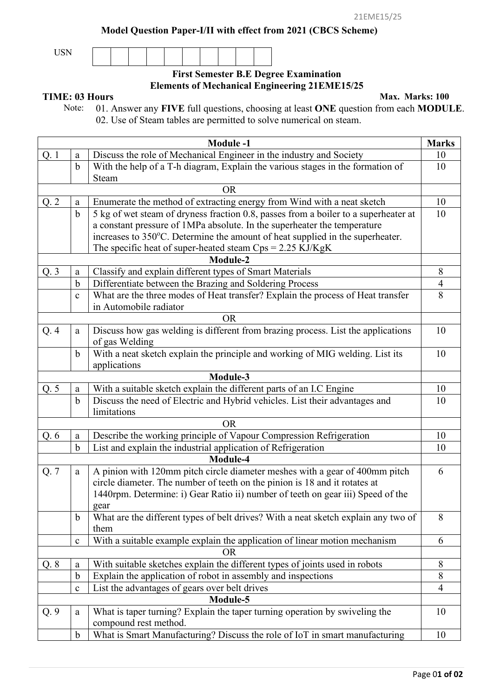**Model Question Paper-I/II with effect from 2021 (CBCS Scheme)**

USN

## **First Semester B.E Degree Examination Elements of Mechanical Engineering 21EME15/25**

**TIME: 03 Hours** Max. Marks: 100<br>Note: 01. Answer any FIVE full questions, choosing at least ONE question from each MODU Note: 01. Answer any **FIVE** full questions, choosing at least **ONE** question from each **MODULE**. 02. Use of Steam tables are permitted to solve numerical on steam.

|      |                                                              | <b>Module-1</b>                                                                     | <b>Marks</b>   |  |  |
|------|--------------------------------------------------------------|-------------------------------------------------------------------------------------|----------------|--|--|
| Q. 1 | a                                                            | Discuss the role of Mechanical Engineer in the industry and Society                 |                |  |  |
|      | $\mathbf b$                                                  | With the help of a T-h diagram, Explain the various stages in the formation of      | 10             |  |  |
|      |                                                              | Steam                                                                               |                |  |  |
|      |                                                              | <b>OR</b>                                                                           |                |  |  |
| Q.2  | a                                                            | Enumerate the method of extracting energy from Wind with a neat sketch              |                |  |  |
|      | $\mathbf b$                                                  | 5 kg of wet steam of dryness fraction 0.8, passes from a boiler to a superheater at | 10             |  |  |
|      |                                                              | a constant pressure of 1MPa absolute. In the superheater the temperature            |                |  |  |
|      |                                                              | increases to 350°C. Determine the amount of heat supplied in the superheater.       |                |  |  |
|      |                                                              | The specific heat of super-heated steam $Cps = 2.25$ KJ/KgK                         |                |  |  |
|      |                                                              | Module-2                                                                            |                |  |  |
| Q.3  | Classify and explain different types of Smart Materials<br>a |                                                                                     | 8              |  |  |
|      | $\mathbf b$                                                  | Differentiate between the Brazing and Soldering Process                             | $\overline{4}$ |  |  |
|      | $\mathbf c$                                                  | What are the three modes of Heat transfer? Explain the process of Heat transfer     | 8              |  |  |
|      |                                                              | in Automobile radiator                                                              |                |  |  |
|      |                                                              | <b>OR</b>                                                                           |                |  |  |
| Q.4  | a                                                            | Discuss how gas welding is different from brazing process. List the applications    | 10             |  |  |
|      |                                                              | of gas Welding                                                                      |                |  |  |
|      | $\mathbf b$                                                  | With a neat sketch explain the principle and working of MIG welding. List its       | 10             |  |  |
|      |                                                              | applications                                                                        |                |  |  |
|      |                                                              | Module-3                                                                            |                |  |  |
| Q.5  | a                                                            | With a suitable sketch explain the different parts of an I.C Engine                 | 10             |  |  |
|      | $\mathbf b$                                                  | Discuss the need of Electric and Hybrid vehicles. List their advantages and         | 10             |  |  |
|      |                                                              | limitations                                                                         |                |  |  |
|      |                                                              | <b>OR</b>                                                                           |                |  |  |
| Q. 6 | $\mathbf{a}$                                                 | Describe the working principle of Vapour Compression Refrigeration                  | 10             |  |  |
|      | $\mathbf b$                                                  | List and explain the industrial application of Refrigeration                        | 10             |  |  |
|      |                                                              | Module-4                                                                            |                |  |  |
| Q.7  | a                                                            | A pinion with 120mm pitch circle diameter meshes with a gear of 400mm pitch         | 6              |  |  |
|      |                                                              | circle diameter. The number of teeth on the pinion is 18 and it rotates at          |                |  |  |
|      |                                                              | 1440rpm. Determine: i) Gear Ratio ii) number of teeth on gear iii) Speed of the     |                |  |  |
|      |                                                              | gear                                                                                |                |  |  |
|      | b                                                            | What are the different types of belt drives? With a neat sketch explain any two of  | 8              |  |  |
|      |                                                              | them                                                                                |                |  |  |
|      | $\mathbf{C}$                                                 | With a suitable example explain the application of linear motion mechanism          | 6              |  |  |
|      |                                                              | OR                                                                                  |                |  |  |
| Q.8  | a                                                            | With suitable sketches explain the different types of joints used in robots         | 8              |  |  |
|      | $\mathbf b$                                                  | Explain the application of robot in assembly and inspections                        | 8              |  |  |
|      | $\mathbf{C}$                                                 | List the advantages of gears over belt drives                                       | $\overline{4}$ |  |  |
|      |                                                              | Module-5                                                                            |                |  |  |
| Q.9  | a                                                            | What is taper turning? Explain the taper turning operation by swiveling the         | 10             |  |  |
|      |                                                              | compound rest method.                                                               |                |  |  |
|      | b                                                            | What is Smart Manufacturing? Discuss the role of IoT in smart manufacturing         | 10             |  |  |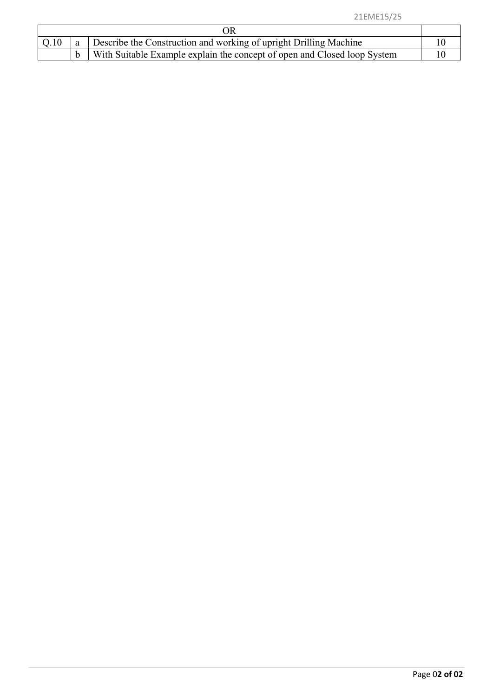|  |  | Describe the Construction and working of upright Drilling Machine        |  |  |
|--|--|--------------------------------------------------------------------------|--|--|
|  |  | With Suitable Example explain the concept of open and Closed loop System |  |  |